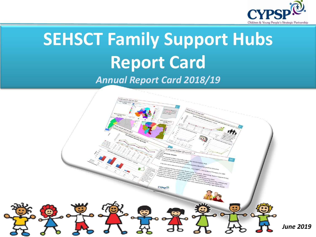

# **SEHSCT Family Support Hubs Report Card** *Annual Report Card 2018/19*

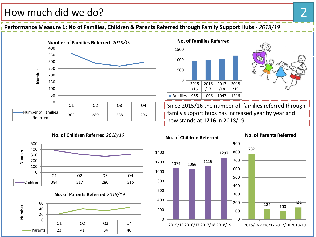#### How much did we do?

**Performance Measure 1: No of Families, Children & Parents Referred through Family Support Hubs -** *2018/19*





Since 2015/16 the number of families referred through family support hubs has increased year by year and now stands at **1216** in 2018/19.







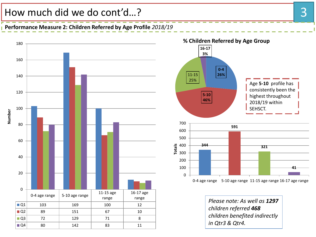#### How much did we do cont'd...?

#### **Performance Measure 2: Children Referred by Age Profile** *2018/19*





*Please note: As well as 1297 children referred 468 children benefited indirectly in Qtr3 & Qtr4.*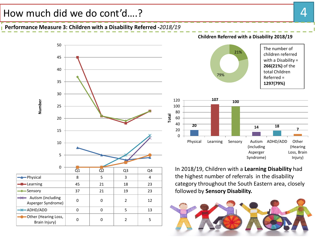#### How much did we do cont'd....? A state of the state of the state of the state of the state of the state of the state of the state of the state of the state of the state of the state of the state of the state of the state o

#### **Performance Measure 3: Children with a Disability Referred -***2018/19*



**Children Referred with a Disability 2018/19**





**Total**

In 2018/19, Children with a **Learning Disability** had the highest number of referrals in the disability category throughout the South Eastern area, closely followed by **Sensory Disability.**

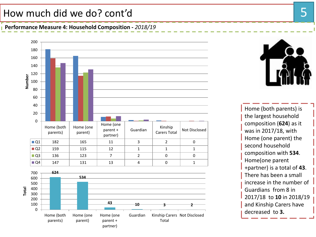# How much did we do? cont'd 5

**Performance Measure 4: Household Composition -** *2018/19*







Home (both parents) is the largest household composition (**624**) as it was in 2017/18, with Home (one parent) the second household composition with **534**. Home(one parent +partner) is a total of **43**. There has been a small increase in the number of Guardians from 8 in 2017/18 to **10** in 2018/19 and Kinship Carers have decreased to **3.**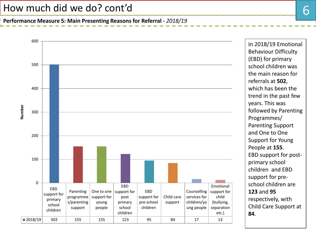**Performance Measure 5: Main Presenting Reasons for Referral -** *2018/19*



In 2018/19 Emotional Behaviour Difficulty (EBD) for primary school children was the main reason for referrals at **502**, which has been the trend in the past few years. This was followed by Parenting Programmes/ Parenting Support and One to One Support for Young People at **155**. EBD support for postprimary school children and EBD support for preschool children are **123** and **95** respectively, with Child Care Support at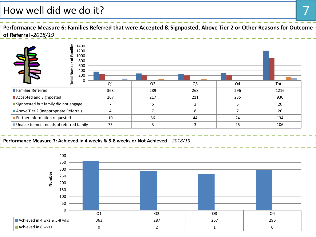### How well did we do it?

Performance Measure 6: Families Referred that were Accepted & Signposted, Above Tier 2 or Other Reasons for Outcome **of Referral -***2018/19*



**Performance Measure 7: Achieved in 4 weeks & 5-8 weeks or Not Achieved** *– 2018/19*

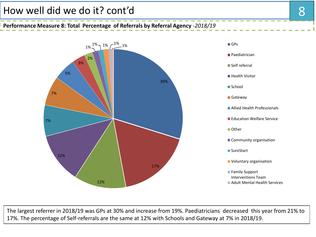### How well did we do it? cont'd 8

**Performance Measure 8: Total Percentage of Referrals by Referral Agency** *-2018/19* 



The largest referrer in 2018/19 was GPs at 30% and increase from 19%. Paediatricians decreased this year from 21% to 17%. The percentage of Self-referrals are the same at 12% with Schools and Gateway at 7% in 2018/19.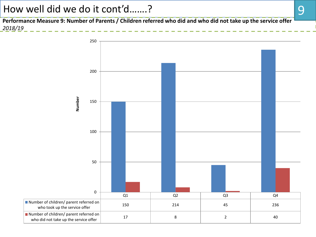### How well did we do it cont'd…….?

**Performance Measure 9: Number of Parents / Children referred who did and who did not take up the service offer**  *2018/19* 

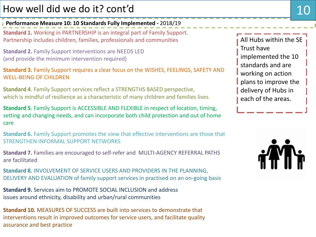## How well did we do it? cont'd

**Performance Measure 10: 10 Standards Fully Implemented** *-* 2018/19

**Standard 1.** Working in PARTNERSHIP is an integral part of Family Support. Partnership includes children, families, professionals and communities

**Standard 2.** Family Support Interventions are NEEDS LED (and provide the minimum intervention required)

**Standard 3.** Family Support requires a clear focus on the WISHES, FEELINGS, SAFETY AND WELL-BEING OF CHILDREN

**Standard 4**. Family Support services reflect a STRENGTHS BASED perspective, which is mindful of resilience as a characteristic of many children and families lives

**Standard 5**. Family Support is ACCESSIBLE AND FLEXIBLE in respect of location, timing, setting and changing needs, and can incorporate both child protection and out of home care

**Standard 6.** Family Support promotes the view that effective interventions are those that STRENGTHEN INFORMAL SUPPORT NETWORKS

**Standard 7.** Families are encouraged to self-refer and MULTI-AGENCY REFERRAL PATHS are facilitated

**Standard 8.** INVOLVEMENT OF SERVICE USERS AND PROVIDERS IN THE PLANNING, DELIVERY AND EVALUATION of family support services in practised on an on-going basis

**Standard 9.** Services aim to PROMOTE SOCIAL INCLUSION and address issues around ethnicity, disability and urban/rural communities

**Standard 10.** MEASURES OF SUCCESS are built into services to demonstrate that interventions result in improved outcomes for service users, and facilitate quality assurance and best practice

All Hubs within the SE Trust have implemented the 10 standards and are working on action plans to improve the delivery of Hubs in each of the areas.

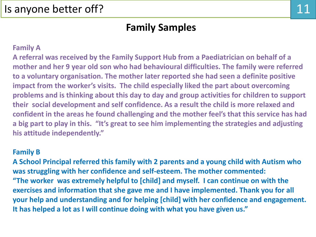### **Family Samples**

#### **Family A**

**A referral was received by the Family Support Hub from a Paediatrician on behalf of a mother and her 9 year old son who had behavioural difficulties. The family were referred to a voluntary organisation. The mother later reported she had seen a definite positive impact from the worker's visits. The child especially liked the part about overcoming problems and is thinking about this day to day and group activities for children to support their social development and self confidence. As a result the child is more relaxed and confident in the areas he found challenging and the mother feel's that this service has had a big part to play in this. "It's great to see him implementing the strategies and adjusting his attitude independently."**

#### **Family B**

**A School Principal referred this family with 2 parents and a young child with Autism who was struggling with her confidence and self-esteem. The mother commented: "The worker was extremely helpful to [child] and myself. I can continue on with the exercises and information that she gave me and I have implemented. Thank you for all your help and understanding and for helping [child] with her confidence and engagement. It has helped a lot as I will continue doing with what you have given us."**